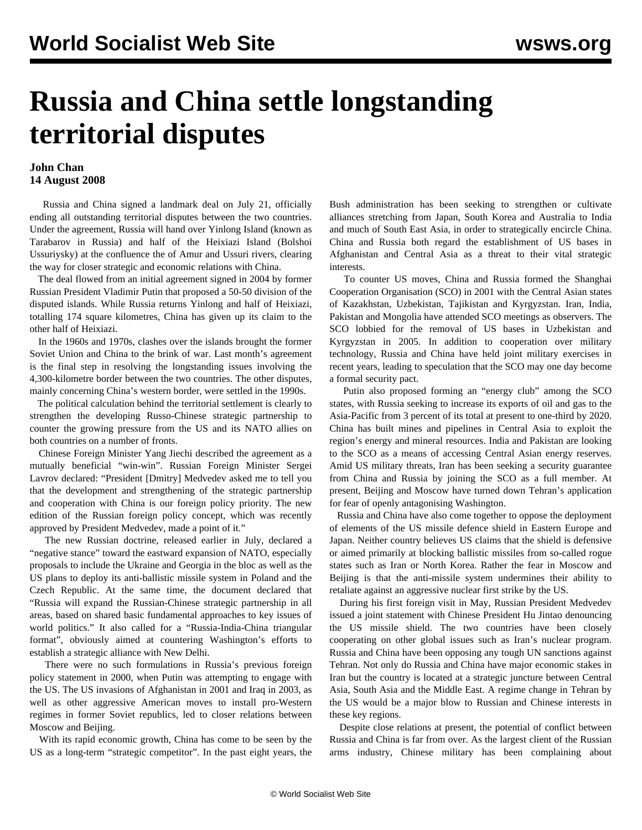## **Russia and China settle longstanding territorial disputes**

## **John Chan 14 August 2008**

 Russia and China signed a landmark deal on July 21, officially ending all outstanding territorial disputes between the two countries. Under the agreement, Russia will hand over Yinlong Island (known as Tarabarov in Russia) and half of the Heixiazi Island (Bolshoi Ussuriysky) at the confluence the of Amur and Ussuri rivers, clearing the way for closer strategic and economic relations with China.

 The deal flowed from an initial agreement signed in 2004 by former Russian President Vladimir Putin that proposed a 50-50 division of the disputed islands. While Russia returns Yinlong and half of Heixiazi, totalling 174 square kilometres, China has given up its claim to the other half of Heixiazi.

 In the 1960s and 1970s, clashes over the islands brought the former Soviet Union and China to the brink of war. Last month's agreement is the final step in resolving the longstanding issues involving the 4,300-kilometre border between the two countries. The other disputes, mainly concerning China's western border, were settled in the 1990s.

 The political calculation behind the territorial settlement is clearly to strengthen the developing Russo-Chinese strategic partnership to counter the growing pressure from the US and its NATO allies on both countries on a number of fronts.

 Chinese Foreign Minister Yang Jiechi described the agreement as a mutually beneficial "win-win". Russian Foreign Minister Sergei Lavrov declared: "President [Dmitry] Medvedev asked me to tell you that the development and strengthening of the strategic partnership and cooperation with China is our foreign policy priority. The new edition of the Russian foreign policy concept, which was recently approved by President Medvedev, made a point of it."

 The new Russian doctrine, released earlier in July, declared a "negative stance" toward the eastward expansion of NATO, especially proposals to include the Ukraine and Georgia in the bloc as well as the US plans to deploy its anti-ballistic missile system in Poland and the Czech Republic. At the same time, the document declared that "Russia will expand the Russian-Chinese strategic partnership in all areas, based on shared basic fundamental approaches to key issues of world politics." It also called for a "Russia-India-China triangular format", obviously aimed at countering Washington's efforts to establish a strategic alliance with New Delhi.

 There were no such formulations in Russia's previous foreign policy statement in 2000, when Putin was attempting to engage with the US. The US invasions of Afghanistan in 2001 and Iraq in 2003, as well as other aggressive American moves to install pro-Western regimes in former Soviet republics, led to closer relations between Moscow and Beijing.

 With its rapid economic growth, China has come to be seen by the US as a long-term "strategic competitor". In the past eight years, the Bush administration has been seeking to strengthen or cultivate alliances stretching from Japan, South Korea and Australia to India and much of South East Asia, in order to strategically encircle China. China and Russia both regard the establishment of US bases in Afghanistan and Central Asia as a threat to their vital strategic interests.

 To counter US moves, China and Russia formed the Shanghai Cooperation Organisation (SCO) in 2001 with the Central Asian states of Kazakhstan, Uzbekistan, Tajikistan and Kyrgyzstan. Iran, India, Pakistan and Mongolia have attended SCO meetings as observers. The SCO lobbied for the removal of US bases in Uzbekistan and Kyrgyzstan in 2005. In addition to cooperation over military technology, Russia and China have held joint military exercises in recent years, leading to speculation that the SCO may one day become a formal security pact.

 Putin also proposed forming an "energy club" among the SCO states, with Russia seeking to increase its exports of oil and gas to the Asia-Pacific from 3 percent of its total at present to one-third by 2020. China has built mines and pipelines in Central Asia to exploit the region's energy and mineral resources. India and Pakistan are looking to the SCO as a means of accessing Central Asian energy reserves. Amid US military threats, Iran has been seeking a security guarantee from China and Russia by joining the SCO as a full member. At present, Beijing and Moscow have turned down Tehran's application for fear of openly antagonising Washington.

 Russia and China have also come together to oppose the deployment of elements of the US missile defence shield in Eastern Europe and Japan. Neither country believes US claims that the shield is defensive or aimed primarily at blocking ballistic missiles from so-called rogue states such as Iran or North Korea. Rather the fear in Moscow and Beijing is that the anti-missile system undermines their ability to retaliate against an aggressive nuclear first strike by the US.

 During his first foreign visit in May, Russian President Medvedev issued a joint statement with Chinese President Hu Jintao denouncing the US missile shield. The two countries have been closely cooperating on other global issues such as Iran's nuclear program. Russia and China have been opposing any tough UN sanctions against Tehran. Not only do Russia and China have major economic stakes in Iran but the country is located at a strategic juncture between Central Asia, South Asia and the Middle East. A regime change in Tehran by the US would be a major blow to Russian and Chinese interests in these key regions.

 Despite close relations at present, the potential of conflict between Russia and China is far from over. As the largest client of the Russian arms industry, Chinese military has been complaining about